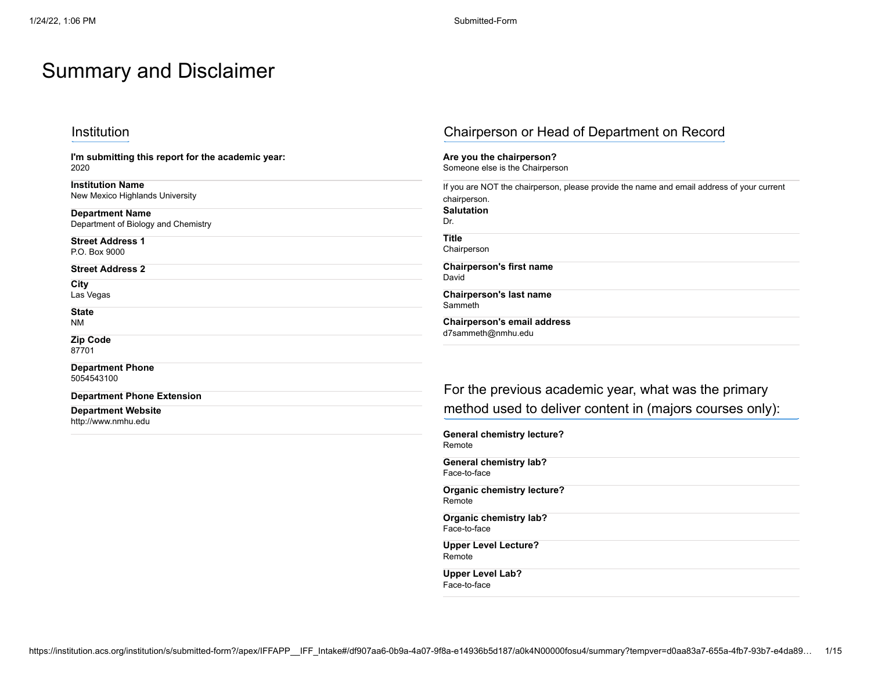# Summary and Disclaimer

**I'm submitting this report for the academic year:** 2020

**Institution Name** New Mexico Highlands University

**Department Name** Department of Biology and Chemistry

**Street Address 1** P.O. Box 9000

**Street Address 2**

**City**

Las Vegas

**State** NM

**Zip Code**

87701

**Department Phone** 5054543100

#### **Department Phone Extension**

**Department Website** http://www.nmhu.edu

## Institution Chairperson or Head of Department on Record

**Are you the chairperson?** Someone else is the Chairperson

| If you are NOT the chairperson, please provide the name and email address of your current<br>chairperson. |  |  |  |  |
|-----------------------------------------------------------------------------------------------------------|--|--|--|--|
| <b>Salutation</b>                                                                                         |  |  |  |  |
| Dr.                                                                                                       |  |  |  |  |
| <b>Title</b><br>Chairperson                                                                               |  |  |  |  |
| <b>Chairperson's first name</b><br>David                                                                  |  |  |  |  |
| <b>Chairperson's last name</b><br>Sammeth                                                                 |  |  |  |  |
| Chairperson's email address<br>d7sammeth@nmhu.edu                                                         |  |  |  |  |

For the previous academic year, what was the primary method used to deliver content in (majors courses only):

**General chemistry lecture?** Remote **General chemistry lab?** Face-to-face **Organic chemistry lecture?** Remote **Organic chemistry lab?** Face-to-face **Upper Level Lecture?** Remote **Upper Level Lab?**

Face-to-face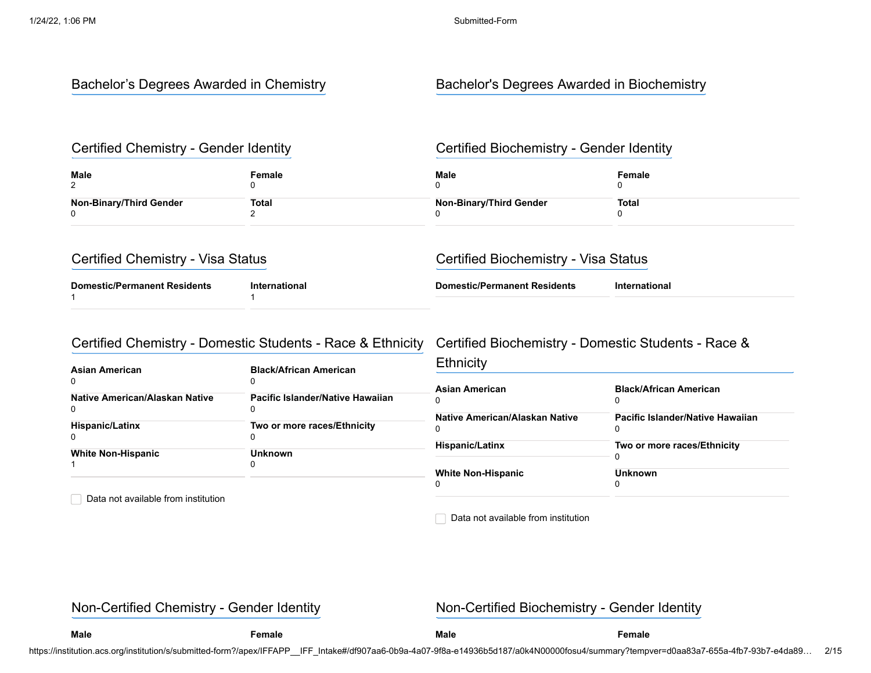### Bachelor's Degrees Awarded in Chemistry **Bachelor's Degrees Awarded in Biochemistry**

#### Certified Chemistry - Gender Identity **Certified Biochemistry - Gender Identity**

| <b>Male</b><br>⌒        | Female | Male                           | Female |
|-------------------------|--------|--------------------------------|--------|
| Non-Binary/Third Gender | Total  | <b>Non-Binary/Third Gender</b> | Total  |

| Certified Chemistry - Visa Status   |               | Certified Biochemistry - Visa Status |               |
|-------------------------------------|---------------|--------------------------------------|---------------|
| <b>Domestic/Permanent Residents</b> | International | <b>Domestic/Permanent Residents</b>  | International |

### Certified Chemistry - Domestic Students - Race & Ethnicity Certified Biochemistry - Domestic Students - Race &

| Asian American                      | <b>Black/African American</b>    | Ethnicity                      |                                  |  |
|-------------------------------------|----------------------------------|--------------------------------|----------------------------------|--|
| 0                                   |                                  | <b>Asian American</b>          | <b>Black/African American</b>    |  |
| Native American/Alaskan Native<br>0 | Pacific Islander/Native Hawaiian |                                |                                  |  |
| <b>Hispanic/Latinx</b>              | Two or more races/Ethnicity      | Native American/Alaskan Native | Pacific Islander/Native Hawaiian |  |
|                                     |                                  | <b>Hispanic/Latinx</b>         | Two or more races/Ethnicity      |  |
| <b>White Non-Hispanic</b>           | <b>Unknown</b>                   |                                |                                  |  |
|                                     |                                  | <b>White Non-Hispanic</b>      | <b>Unknown</b>                   |  |

Data not available from institution

Data not available from institution

Non-Certified Chemistry - Gender Identity Non-Certified Biochemistry - Gender Identity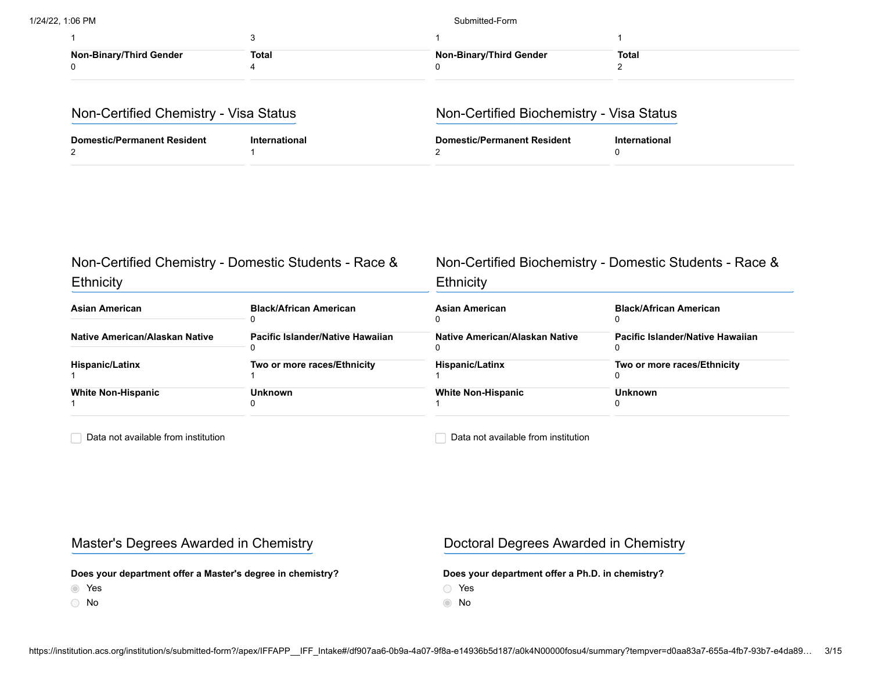| <b>Non-Binary/Third Gender</b> | Total | <b>Non-Binary/Third Gender</b> | Total |
|--------------------------------|-------|--------------------------------|-------|

| Non-Certified Chemistry - Visa Status |               | Non-Certified Biochemistry - Visa Status |               |
|---------------------------------------|---------------|------------------------------------------|---------------|
| <b>Domestic/Permanent Resident</b>    | International | <b>Domestic/Permanent Resident</b>       | International |

| Non-Certified Chemistry - Domestic Students - Race &<br>Ethnicity |                                  | Non-Certified Biochemistry - Domestic Students - Race &<br>Ethnicity |                                  |  |
|-------------------------------------------------------------------|----------------------------------|----------------------------------------------------------------------|----------------------------------|--|
| Asian American                                                    | <b>Black/African American</b>    | <b>Asian American</b>                                                | <b>Black/African American</b>    |  |
| Native American/Alaskan Native                                    | Pacific Islander/Native Hawaiian | Native American/Alaskan Native                                       | Pacific Islander/Native Hawaiian |  |
| <b>Hispanic/Latinx</b>                                            | Two or more races/Ethnicity      | <b>Hispanic/Latinx</b>                                               | Two or more races/Ethnicity      |  |
| <b>White Non-Hispanic</b>                                         | <b>Unknown</b>                   | <b>White Non-Hispanic</b>                                            | <b>Unknown</b>                   |  |

Data not available from institution

Data not available from institution

### Master's Degrees Awarded in Chemistry **Naster's Degrees Awarded in Chemistry**

**Does your department offer a Master's degree in chemistry?**

- Yes
- No

**Does your department offer a Ph.D. in chemistry?**

Yes

No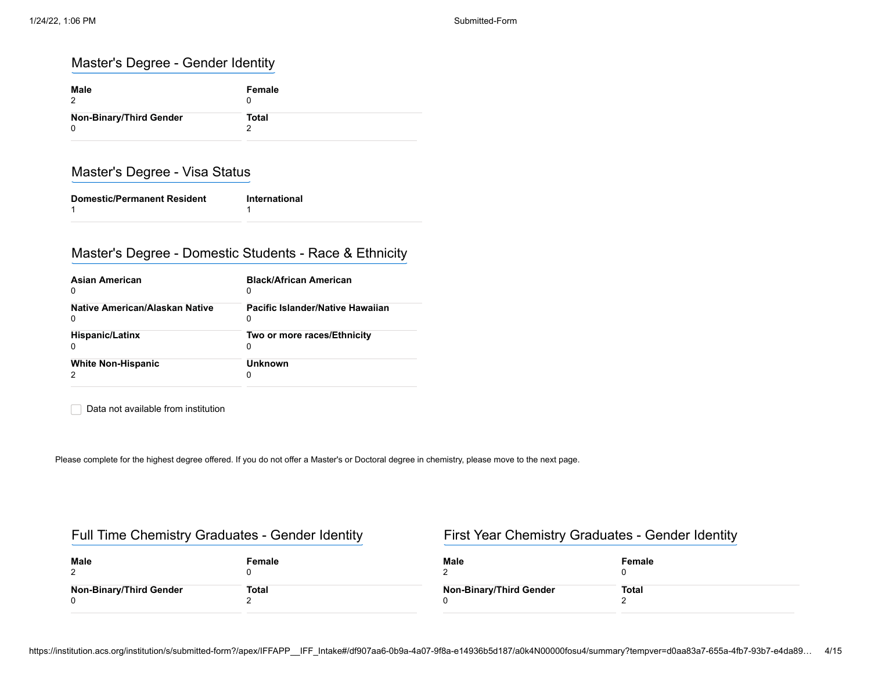## Master's Degree - Gender Identity

| Male<br>2                      | Female       |
|--------------------------------|--------------|
| <b>Non-Binary/Third Gender</b> | <b>Total</b> |
| 0                              | 2            |

## Master's Degree - Visa Status

| <b>Domestic/Permanent Resident</b> | International |
|------------------------------------|---------------|
|                                    |               |

### Master's Degree - Domestic Students - Race & Ethnicity

| <b>Asian American</b>          | <b>Black/African American</b>    |
|--------------------------------|----------------------------------|
| 0                              | 0                                |
| Native American/Alaskan Native | Pacific Islander/Native Hawaiian |
| 0                              | 0                                |
| <b>Hispanic/Latinx</b>         | Two or more races/Ethnicity      |
| 0                              | 0                                |
| <b>White Non-Hispanic</b>      | <b>Unknown</b><br>O              |

Data not available from institution

Please complete for the highest degree offered. If you do not offer a Master's or Doctoral degree in chemistry, please move to the next page.

### Full Time Chemistry Graduates - Gender Identity First Year Chemistry Graduates - Gender Identity

| Male<br>ົ               | Female | Male                           | Female       |
|-------------------------|--------|--------------------------------|--------------|
| Non-Binary/Third Gender | Total  | <b>Non-Binary/Third Gender</b> | <b>Total</b> |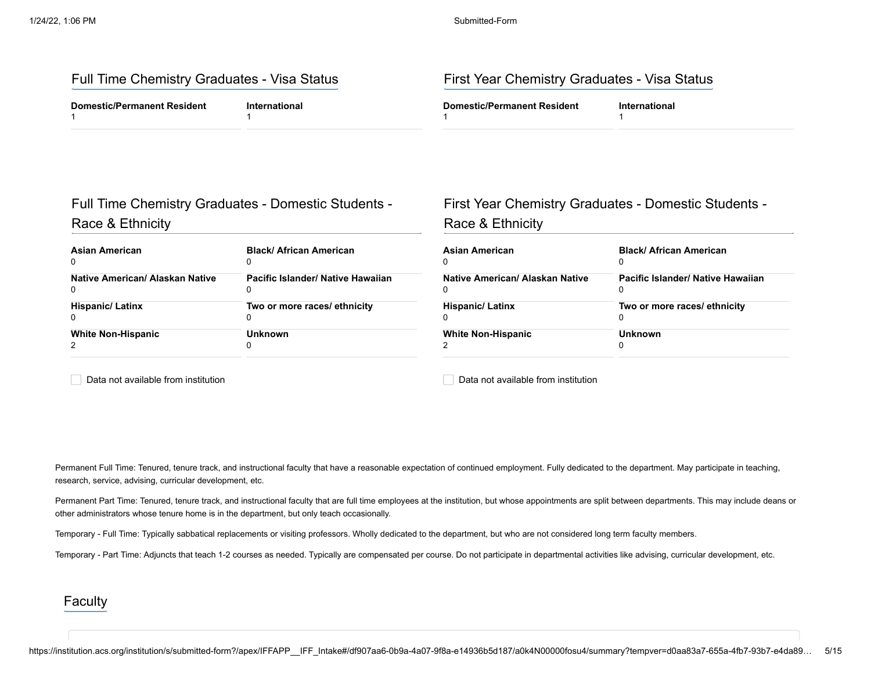### Full Time Chemistry Graduates - Visa Status First Year Chemistry Graduates - Visa Status

| <b>Domestic/Permanent Resident</b> | arnationa. | Domestic/Permanent Resident_ |  |
|------------------------------------|------------|------------------------------|--|
|                                    |            |                              |  |

# Full Time Chemistry Graduates - Domestic Students - Race & Ethnicity

| Asian American                  | <b>Black/ African American</b>    |
|---------------------------------|-----------------------------------|
| 0                               | 0                                 |
| Native American/ Alaskan Native | Pacific Islander/ Native Hawaiian |
| 0                               | 0                                 |
| <b>Hispanic/Latinx</b>          | Two or more races/ ethnicity      |
| 0                               | 0                                 |
| <b>White Non-Hispanic</b>       | <b>Unknown</b>                    |
|                                 | 0                                 |

# First Year Chemistry Graduates - Domestic Students - Race & Ethnicity

| Asian American                  | <b>Black/African American</b>     |
|---------------------------------|-----------------------------------|
| 0                               | 0                                 |
| Native American/ Alaskan Native | Pacific Islander/ Native Hawaiian |
| $\Omega$                        | 0                                 |
| <b>Hispanic/Latinx</b>          | Two or more races/ ethnicity      |
| 0                               | 0                                 |
| <b>White Non-Hispanic</b>       | Unknown                           |
|                                 | 0                                 |

Data not available from institution

Data not available from institution

Permanent Full Time: Tenured, tenure track, and instructional faculty that have a reasonable expectation of continued employment. Fully dedicated to the department. May participate in teaching, research, service, advising, curricular development, etc.

Permanent Part Time: Tenured, tenure track, and instructional faculty that are full time employees at the institution, but whose appointments are split between departments. This may include deans or other administrators whose tenure home is in the department, but only teach occasionally.

Temporary - Full Time: Typically sabbatical replacements or visiting professors. Wholly dedicated to the department, but who are not considered long term faculty members.

Temporary - Part Time: Adjuncts that teach 1-2 courses as needed. Typically are compensated per course. Do not participate in departmental activities like advising, curricular development, etc.

#### Faculty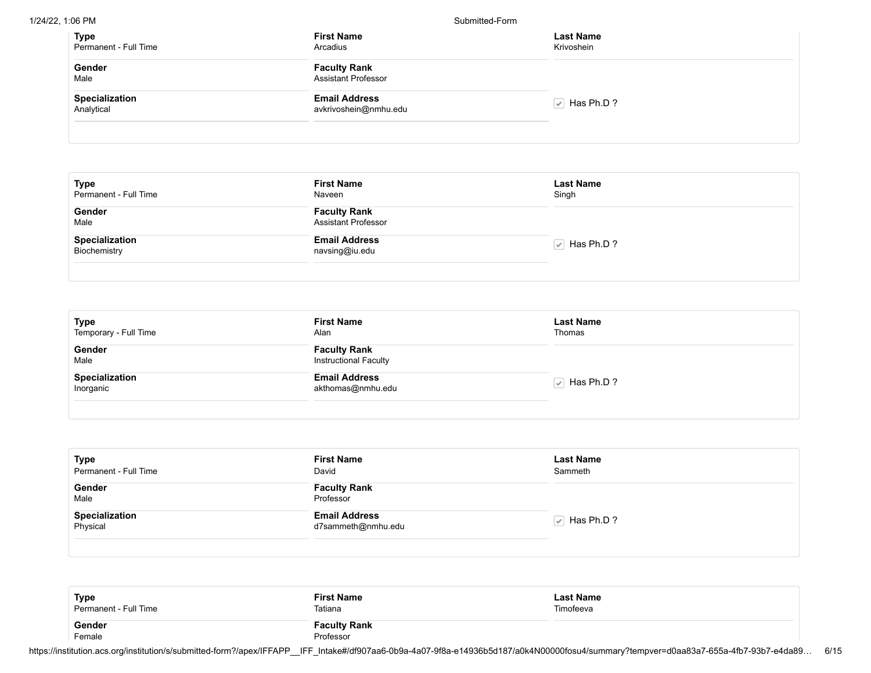1/24/22, 1:06 PM Submitted-Form

| <b>Type</b><br>Permanent - Full Time | <b>First Name</b><br>Arcadius                     | <b>Last Name</b><br>Krivoshein |
|--------------------------------------|---------------------------------------------------|--------------------------------|
| Gender<br>Male                       | <b>Faculty Rank</b><br><b>Assistant Professor</b> |                                |
| Specialization<br>Analytical         | <b>Email Address</b><br>avkrivoshein@nmhu.edu     | $\sqrt{ }$ Has Ph.D ?          |

| <b>Type</b><br>Permanent - Full Time | <b>First Name</b><br>Naveen                       | <b>Last Name</b><br>Singh |
|--------------------------------------|---------------------------------------------------|---------------------------|
| Gender<br>Male                       | <b>Faculty Rank</b><br><b>Assistant Professor</b> |                           |
| Specialization<br>Biochemistry       | <b>Email Address</b><br>navsing@iu.edu            | $\sqrt{ }$ Has Ph.D ?     |

| <b>Type</b><br>Temporary - Full Time | <b>First Name</b><br>Alan                           | <b>Last Name</b><br>Thomas |
|--------------------------------------|-----------------------------------------------------|----------------------------|
| Gender<br>Male                       | <b>Faculty Rank</b><br><b>Instructional Faculty</b> |                            |
| Specialization<br>Inorganic          | <b>Email Address</b><br>akthomas@nmhu.edu           | $\sqrt{ }$ Has Ph.D ?      |

| Type<br>Permanent - Full Time | <b>First Name</b><br>David                 | <b>Last Name</b><br>Sammeth |  |
|-------------------------------|--------------------------------------------|-----------------------------|--|
| Gender<br>Male                | <b>Faculty Rank</b><br>Professor           |                             |  |
| Specialization<br>Physical    | <b>Email Address</b><br>d7sammeth@nmhu.edu | $\sqrt{ }$ Has Ph.D ?       |  |

| Type                  | <b>First Name</b>                | <b>Last Name</b> |
|-----------------------|----------------------------------|------------------|
| Permanent - Full Time | Tatiana                          | Timofeeva        |
| Gender<br>Female      | <b>Faculty Rank</b><br>Professor |                  |

https://institution.acs.org/institution/s/submitted-form?/apex/IFFAPP\_\_IFF\_Intake#/df907aa6-0b9a-4a07-9f8a-e14936b5d187/a0k4N00000fosu4/summary?tempver=d0aa83a7-655a-4fb7-93b7-e4da89… 6/15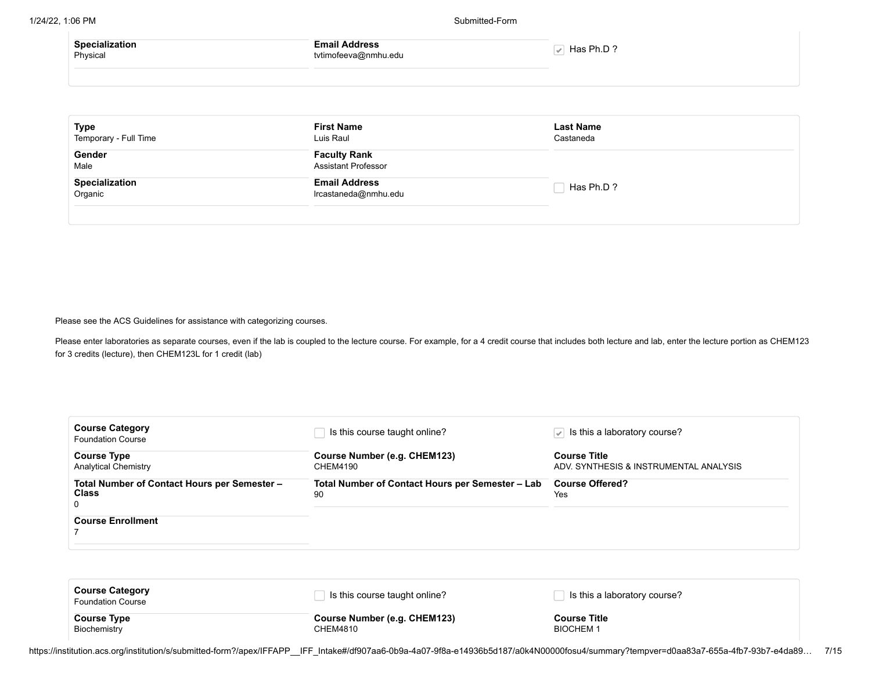| <b>Specialization</b> | Email Address        | Has Ph.D? |
|-----------------------|----------------------|-----------|
| Physical              | tvtimofeeva@nmhu.edu |           |
|                       |                      |           |

| <b>Type</b><br>Temporary - Full Time | <b>First Name</b><br>Luis Raul                    | <b>Last Name</b><br>Castaneda |  |
|--------------------------------------|---------------------------------------------------|-------------------------------|--|
| Gender<br>Male                       | <b>Faculty Rank</b><br><b>Assistant Professor</b> |                               |  |
| Specialization<br>Organic            | <b>Email Address</b><br>Ircastaneda@nmhu.edu      | Has Ph.D?                     |  |

Please see the ACS Guidelines for assistance with categorizing courses.

Please enter laboratories as separate courses, even if the lab is coupled to the lecture course. For example, for a 4 credit course that includes both lecture and lab, enter the lecture portion as CHEM123 for 3 credits (lecture), then CHEM123L for 1 credit (lab)

| <b>Course Category</b><br><b>Foundation Course</b>                | Is this course taught online?                          | $\sqrt{\phantom{a}}$ Is this a laboratory course?             |
|-------------------------------------------------------------------|--------------------------------------------------------|---------------------------------------------------------------|
| <b>Course Type</b><br><b>Analytical Chemistry</b>                 | Course Number (e.g. CHEM123)<br>CHEM4190               | <b>Course Title</b><br>ADV. SYNTHESIS & INSTRUMENTAL ANALYSIS |
| Total Number of Contact Hours per Semester -<br><b>Class</b><br>0 | Total Number of Contact Hours per Semester - Lab<br>90 | <b>Course Offered?</b><br>Yes                                 |
| <b>Course Enrollment</b>                                          |                                                        |                                                               |

| <b>Course Category</b><br><b>Foundation Course</b> | Is this course taught online? | Is this a laboratory course? |
|----------------------------------------------------|-------------------------------|------------------------------|
| <b>Course Type</b>                                 | Course Number (e.g. CHEM123)  | Course Title                 |
| Biochemistry                                       | CHEM4810                      | <b>BIOCHEM1</b>              |

https://institution.acs.org/institution/s/submitted-form?/apex/IFFAPP\_\_IFF\_Intake#/df907aa6-0b9a-4a07-9f8a-e14936b5d187/a0k4N00000fosu4/summary?tempver=d0aa83a7-655a-4fb7-93b7-e4da89… 7/15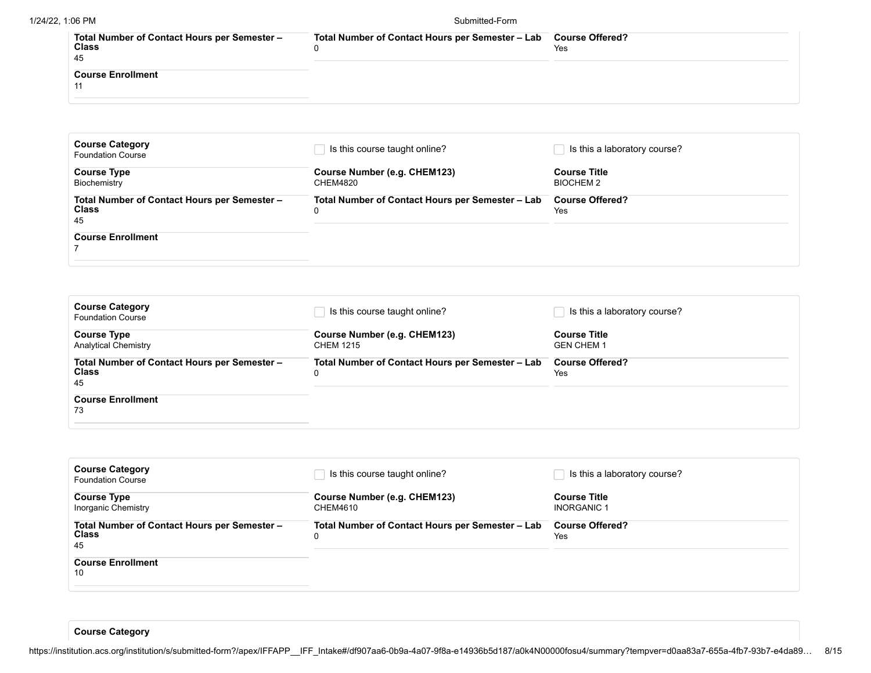| Total Number of Contact Hours per Semester -<br><b>Class</b><br>45 | Total Number of Contact Hours per Semester - Lab Course Offered? | Yes |
|--------------------------------------------------------------------|------------------------------------------------------------------|-----|
| <b>Course Enrollment</b>                                           |                                                                  |     |

| <b>Course Category</b><br><b>Foundation Course</b>                 | Is this course taught online?                         | Is this a laboratory course?            |
|--------------------------------------------------------------------|-------------------------------------------------------|-----------------------------------------|
| <b>Course Type</b><br>Biochemistry                                 | Course Number (e.g. CHEM123)<br>CHEM4820              | <b>Course Title</b><br><b>BIOCHEM 2</b> |
| Total Number of Contact Hours per Semester -<br><b>Class</b><br>45 | Total Number of Contact Hours per Semester - Lab<br>0 | <b>Course Offered?</b><br>Yes           |
| <b>Course Enrollment</b>                                           |                                                       |                                         |

| <b>Course Category</b><br><b>Foundation Course</b>                 | Is this course taught online?                         | Is this a laboratory course?             |
|--------------------------------------------------------------------|-------------------------------------------------------|------------------------------------------|
| <b>Course Type</b><br><b>Analytical Chemistry</b>                  | Course Number (e.g. CHEM123)<br><b>CHEM 1215</b>      | <b>Course Title</b><br><b>GEN CHEM 1</b> |
| Total Number of Contact Hours per Semester -<br><b>Class</b><br>45 | Total Number of Contact Hours per Semester - Lab<br>0 | <b>Course Offered?</b><br>Yes            |
| <b>Course Enrollment</b><br>73                                     |                                                       |                                          |

| <b>Course Category</b><br><b>Foundation Course</b>                 | Is this course taught online?                         | Is this a laboratory course?              |
|--------------------------------------------------------------------|-------------------------------------------------------|-------------------------------------------|
| <b>Course Type</b><br>Inorganic Chemistry                          | Course Number (e.g. CHEM123)<br><b>CHEM4610</b>       | <b>Course Title</b><br><b>INORGANIC 1</b> |
| Total Number of Contact Hours per Semester -<br><b>Class</b><br>45 | Total Number of Contact Hours per Semester - Lab<br>0 | <b>Course Offered?</b><br><b>Yes</b>      |
| <b>Course Enrollment</b><br>10                                     |                                                       |                                           |

**Course Category**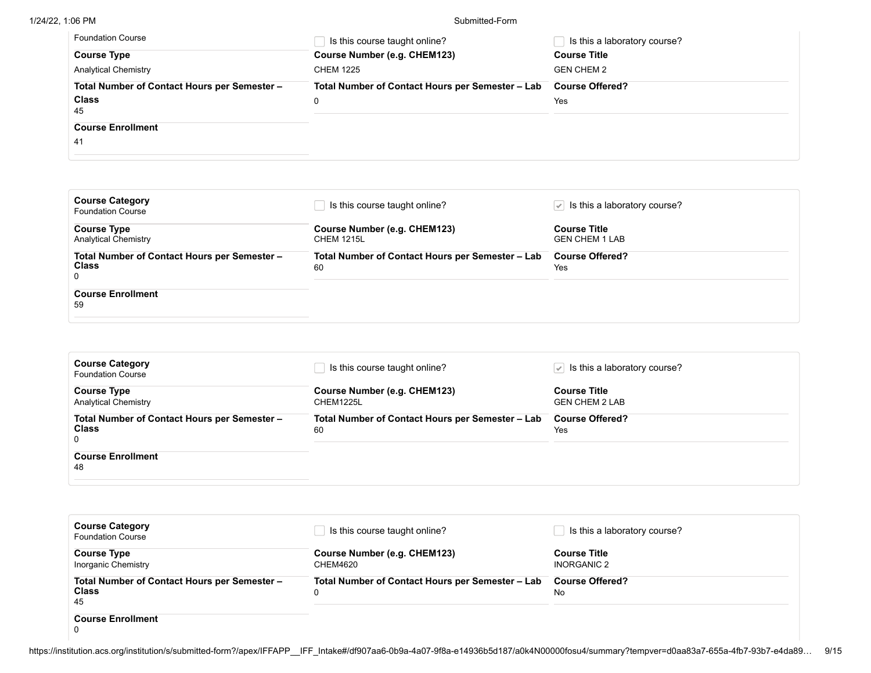#### 1/24/22, 1:06 PM Submitted-Form

| <b>Foundation Course</b>                     | Is this course taught online?                    | Is this a laboratory course? |
|----------------------------------------------|--------------------------------------------------|------------------------------|
| <b>Course Type</b>                           | Course Number (e.g. CHEM123)                     | <b>Course Title</b>          |
| <b>Analytical Chemistry</b>                  | <b>CHEM 1225</b>                                 | <b>GEN CHEM 2</b>            |
| Total Number of Contact Hours per Semester - | Total Number of Contact Hours per Semester - Lab | <b>Course Offered?</b>       |
| <b>Class</b><br>45                           | 0                                                | Yes                          |
| <b>Course Enrollment</b>                     |                                                  |                              |
| 41                                           |                                                  |                              |

| <b>Course Category</b><br><b>Foundation Course</b>                           | Is this course taught online?                          | $\sqrt{\phantom{a}}$ Is this a laboratory course? |
|------------------------------------------------------------------------------|--------------------------------------------------------|---------------------------------------------------|
| <b>Course Type</b><br><b>Analytical Chemistry</b>                            | Course Number (e.g. CHEM123)<br><b>CHEM 1215L</b>      | <b>Course Title</b><br><b>GEN CHEM 1 LAB</b>      |
| Total Number of Contact Hours per Semester -<br><b>Class</b><br>$\mathbf{0}$ | Total Number of Contact Hours per Semester - Lab<br>60 | <b>Course Offered?</b><br>Yes                     |
| <b>Course Enrollment</b><br>59                                               |                                                        |                                                   |

| <b>Course Category</b><br><b>Foundation Course</b> | Is this course taught online?                    | $\sqrt{\phantom{a}}$ Is this a laboratory course? |
|----------------------------------------------------|--------------------------------------------------|---------------------------------------------------|
| <b>Course Type</b>                                 | Course Number (e.g. CHEM123)                     | <b>Course Title</b>                               |
| <b>Analytical Chemistry</b>                        | CHEM1225L                                        | <b>GEN CHEM 2 LAB</b>                             |
| Total Number of Contact Hours per Semester -       | Total Number of Contact Hours per Semester - Lab | <b>Course Offered?</b>                            |
| <b>Class</b>                                       | 60                                               | Yes                                               |
| <b>Course Enrollment</b><br>48                     |                                                  |                                                   |

| <b>Course Category</b><br><b>Foundation Course</b>                 | Is this course taught online?                         | Is this a laboratory course?              |
|--------------------------------------------------------------------|-------------------------------------------------------|-------------------------------------------|
| <b>Course Type</b><br>Inorganic Chemistry                          | Course Number (e.g. CHEM123)<br>CHEM4620              | <b>Course Title</b><br><b>INORGANIC 2</b> |
| Total Number of Contact Hours per Semester -<br><b>Class</b><br>45 | Total Number of Contact Hours per Semester - Lab<br>0 | <b>Course Offered?</b><br>No              |
| <b>Course Enrollment</b>                                           |                                                       |                                           |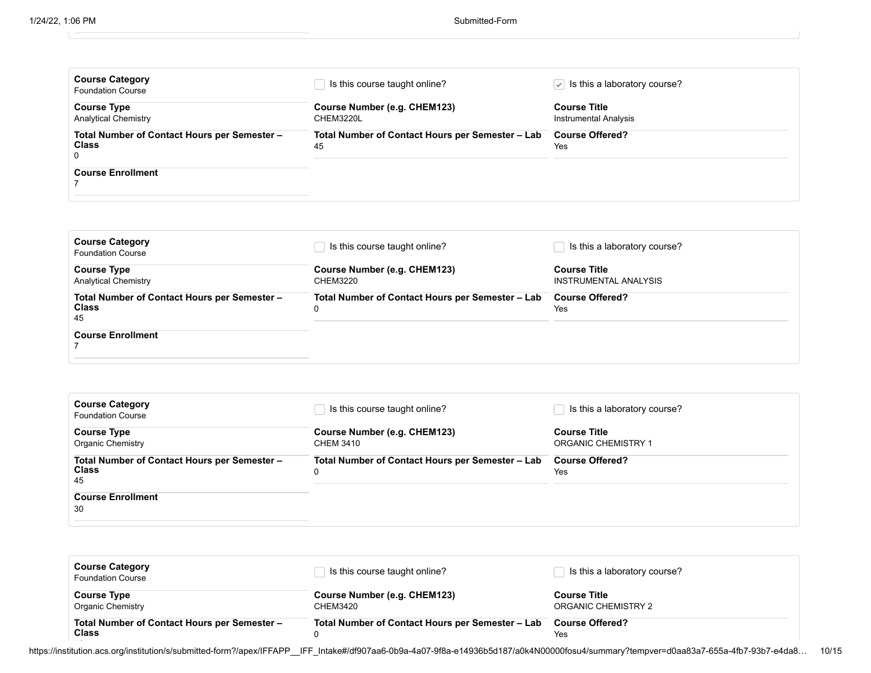| <b>Course Category</b><br><b>Foundation Course</b>                                            | Is this course taught online?                          | Is this a laboratory course?<br>$\mathcal{L}$ |
|-----------------------------------------------------------------------------------------------|--------------------------------------------------------|-----------------------------------------------|
| <b>Course Type</b><br><b>Analytical Chemistry</b>                                             | Course Number (e.g. CHEM123)<br>CHEM3220L              | <b>Course Title</b><br>Instrumental Analysis  |
| Total Number of Contact Hours per Semester -<br><b>Class</b><br>0<br><b>Course Enrollment</b> | Total Number of Contact Hours per Semester - Lab<br>45 | <b>Course Offered?</b><br>Yes                 |
|                                                                                               |                                                        |                                               |

| <b>Course Category</b><br><b>Foundation Course</b>                 | Is this course taught online?                         | Is this a laboratory course?                 |
|--------------------------------------------------------------------|-------------------------------------------------------|----------------------------------------------|
| <b>Course Type</b><br><b>Analytical Chemistry</b>                  | Course Number (e.g. CHEM123)<br>CHEM3220              | <b>Course Title</b><br>INSTRUMENTAL ANALYSIS |
| Total Number of Contact Hours per Semester -<br><b>Class</b><br>45 | Total Number of Contact Hours per Semester - Lab<br>0 | <b>Course Offered?</b><br>Yes                |
| <b>Course Enrollment</b>                                           |                                                       |                                              |

| <b>Course Category</b><br><b>Foundation Course</b>                 | Is this course taught online?                         | Is this a laboratory course?                      |
|--------------------------------------------------------------------|-------------------------------------------------------|---------------------------------------------------|
| <b>Course Type</b><br><b>Organic Chemistry</b>                     | Course Number (e.g. CHEM123)<br>CHEM 3410             | <b>Course Title</b><br><b>ORGANIC CHEMISTRY 1</b> |
| Total Number of Contact Hours per Semester -<br><b>Class</b><br>45 | Total Number of Contact Hours per Semester - Lab<br>0 | <b>Course Offered?</b><br>Yes                     |
| <b>Course Enrollment</b><br>30                                     |                                                       |                                                   |

| <b>Course Category</b><br><b>Foundation Course</b>           | Is this course taught online?                    | Is this a laboratory course?               |
|--------------------------------------------------------------|--------------------------------------------------|--------------------------------------------|
| <b>Course Type</b><br><b>Organic Chemistry</b>               | Course Number (e.g. CHEM123)<br><b>CHEM3420</b>  | <b>Course Title</b><br>ORGANIC CHEMISTRY 2 |
| Total Number of Contact Hours per Semester -<br><b>Class</b> | Total Number of Contact Hours per Semester - Lab | <b>Course Offered?</b><br>Yes              |

https://institution.acs.org/institution/s/submitted-form?/apex/IFFAPP\_\_IFF\_Intake#/df907aa6-0b9a-4a07-9f8a-e14936b5d187/a0k4N00000fosu4/summary?tempver=d0aa83a7-655a-4fb7-93b7-e4da8… 10/15 45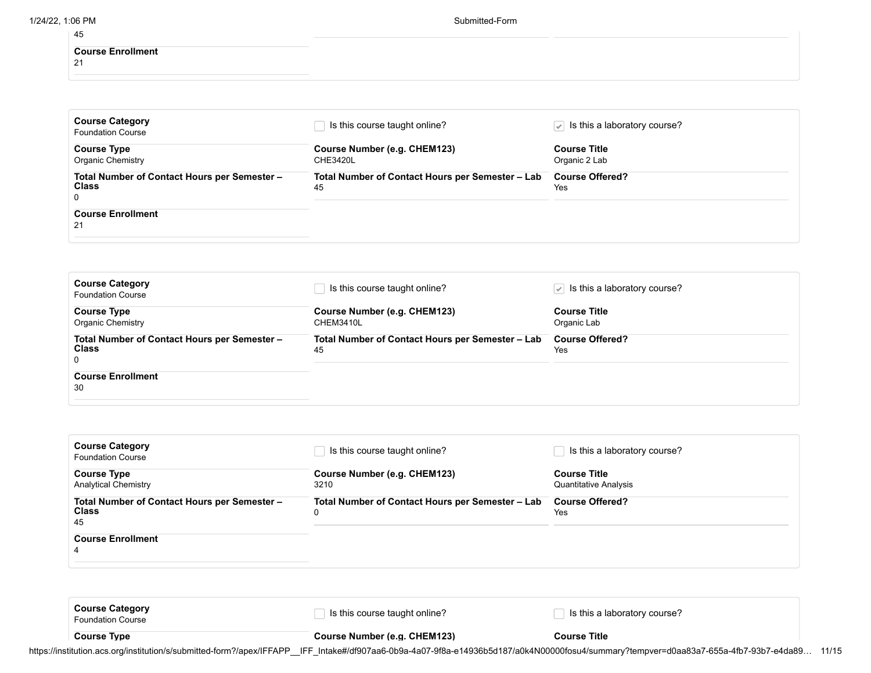| 1/24/22, 1:06 PM |                                | Submitted-Form |  |
|------------------|--------------------------------|----------------|--|
|                  | 45                             |                |  |
|                  | <b>Course Enrollment</b><br>21 |                |  |
|                  |                                |                |  |

| <b>Course Category</b><br><b>Foundation Course</b>           | Is this course taught online?                          | $\sqrt{\phantom{a}}$ Is this a laboratory course? |
|--------------------------------------------------------------|--------------------------------------------------------|---------------------------------------------------|
| <b>Course Type</b>                                           | Course Number (e.g. CHEM123)                           | <b>Course Title</b>                               |
| <b>Organic Chemistry</b>                                     | CHE3420L                                               | Organic 2 Lab                                     |
| Total Number of Contact Hours per Semester -<br><b>Class</b> | Total Number of Contact Hours per Semester - Lab<br>45 | <b>Course Offered?</b><br>Yes                     |
| 0                                                            |                                                        |                                                   |
| <b>Course Enrollment</b>                                     |                                                        |                                                   |
| 21                                                           |                                                        |                                                   |

| <b>Course Category</b><br><b>Foundation Course</b>                | Is this course taught online?                          | $\sqrt{ }$ is this a laboratory course? |
|-------------------------------------------------------------------|--------------------------------------------------------|-----------------------------------------|
| <b>Course Type</b><br>Organic Chemistry                           | Course Number (e.g. CHEM123)<br>CHEM3410L              | <b>Course Title</b><br>Organic Lab      |
| Total Number of Contact Hours per Semester -<br><b>Class</b><br>0 | Total Number of Contact Hours per Semester - Lab<br>45 | <b>Course Offered?</b><br>Yes           |
| <b>Course Enrollment</b><br>30                                    |                                                        |                                         |

| <b>Course Category</b><br><b>Foundation Course</b>                                                                                                  | Is this course taught online?                                                                 | Is this a laboratory course?                                                         |
|-----------------------------------------------------------------------------------------------------------------------------------------------------|-----------------------------------------------------------------------------------------------|--------------------------------------------------------------------------------------|
| <b>Course Type</b><br><b>Analytical Chemistry</b><br>Total Number of Contact Hours per Semester -<br><b>Class</b><br>45<br><b>Course Enrollment</b> | Course Number (e.g. CHEM123)<br>3210<br>Total Number of Contact Hours per Semester - Lab<br>0 | <b>Course Title</b><br><b>Quantitative Analysis</b><br><b>Course Offered?</b><br>Yes |
| 4<br><b>Course Category</b>                                                                                                                         | le this course tought opline?                                                                 | Le thie a laboratory course?                                                         |

Foundation Course **Course Type Course Course Course Number** (e.g. CHEM123) **Course Course Course Title** 

https://institution.acs.org/institution/s/submitted-form?/apex/IFFAPP\_\_IFF\_Intake#/df907aa6-0b9a-4a07-9f8a-e14936b5d187/a0k4N00000fosu4/summary?tempver=d0aa83a7-655a-4fb7-93b7-e4da89... 11/15

□ Is this course taught online? In this a laboratory course?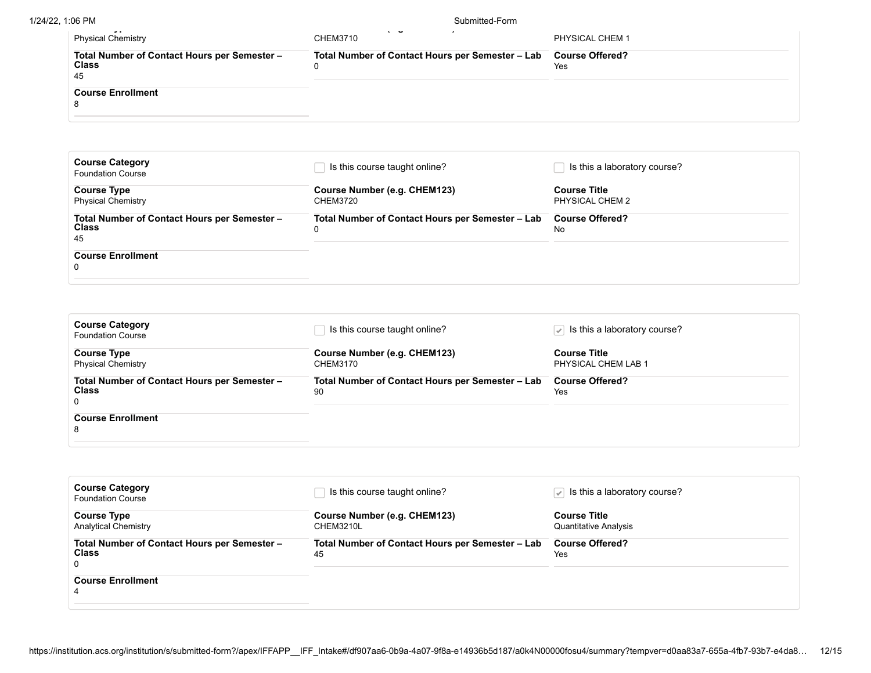1/24/22, 1:06 PM Submitted-Form

| .                                                                                                   |                                                       |                               |
|-----------------------------------------------------------------------------------------------------|-------------------------------------------------------|-------------------------------|
| . .<br><b>Physical Chemistry</b>                                                                    | $\tilde{\phantom{a}}$<br><b>CHEM3710</b>              | PHYSICAL CHEM 1               |
| Total Number of Contact Hours per Semester -<br><b>Class</b><br>45<br><b>Course Enrollment</b><br>o | Total Number of Contact Hours per Semester - Lab<br>0 | <b>Course Offered?</b><br>Yes |
|                                                                                                     |                                                       |                               |

| <b>Course Category</b><br><b>Foundation Course</b>                 | Is this course taught online?                    | Is this a laboratory course?           |
|--------------------------------------------------------------------|--------------------------------------------------|----------------------------------------|
| <b>Course Type</b><br><b>Physical Chemistry</b>                    | Course Number (e.g. CHEM123)<br><b>CHEM3720</b>  | <b>Course Title</b><br>PHYSICAL CHEM 2 |
| Total Number of Contact Hours per Semester -<br><b>Class</b><br>45 | Total Number of Contact Hours per Semester - Lab | <b>Course Offered?</b><br>No           |
| <b>Course Enrollment</b><br>0                                      |                                                  |                                        |

| <b>Course Category</b><br><b>Foundation Course</b>                | Is this course taught online?                          | $\sqrt{\phantom{a}}$ Is this a laboratory course? |
|-------------------------------------------------------------------|--------------------------------------------------------|---------------------------------------------------|
| <b>Course Type</b><br><b>Physical Chemistry</b>                   | Course Number (e.g. CHEM123)<br>CHEM3170               | <b>Course Title</b><br>PHYSICAL CHEM LAB 1        |
| Total Number of Contact Hours per Semester -<br><b>Class</b><br>0 | Total Number of Contact Hours per Semester - Lab<br>90 | <b>Course Offered?</b><br>Yes                     |
| <b>Course Enrollment</b><br>8                                     |                                                        |                                                   |

| <b>Course Category</b><br><b>Foundation Course</b>           | Is this course taught online?                    | $\sqrt{ }$ is this a laboratory course? |
|--------------------------------------------------------------|--------------------------------------------------|-----------------------------------------|
| <b>Course Type</b>                                           | Course Number (e.g. CHEM123)                     | <b>Course Title</b>                     |
| <b>Analytical Chemistry</b>                                  | CHEM3210L                                        | <b>Quantitative Analysis</b>            |
| Total Number of Contact Hours per Semester -<br><b>Class</b> | Total Number of Contact Hours per Semester - Lab | <b>Course Offered?</b><br>Yes           |
| $\Omega$                                                     | 45                                               |                                         |
| <b>Course Enrollment</b>                                     |                                                  |                                         |
| 4                                                            |                                                  |                                         |
|                                                              |                                                  |                                         |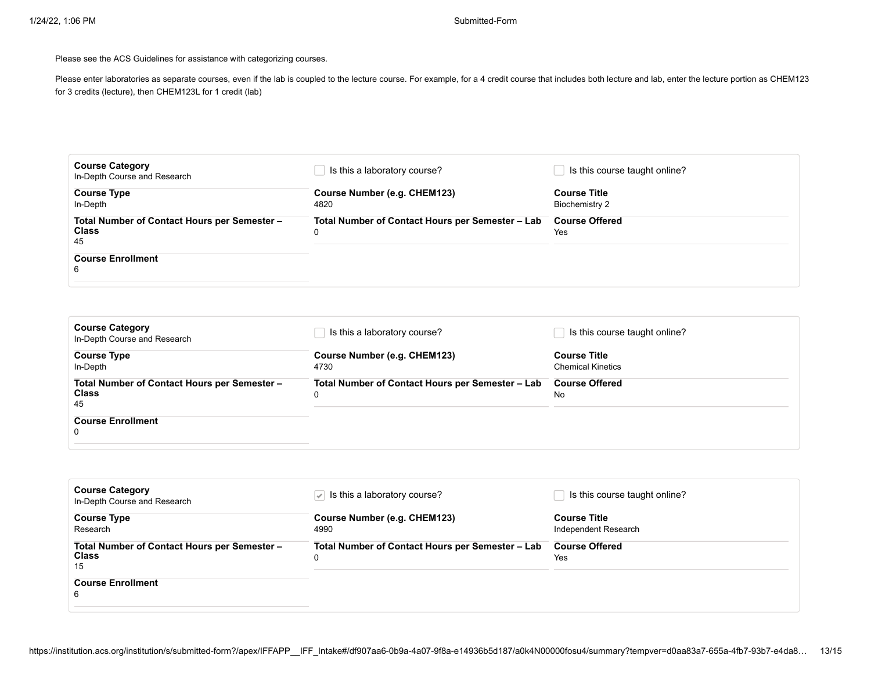Please see the ACS Guidelines for assistance with categorizing courses.

Please enter laboratories as separate courses, even if the lab is coupled to the lecture course. For example, for a 4 credit course that includes both lecture and lab, enter the lecture portion as CHEM123 for 3 credits (lecture), then CHEM123L for 1 credit (lab)

| <b>Course Category</b><br>In-Depth Course and Research                                              | Is this a laboratory course?                          | Is this course taught online?         |
|-----------------------------------------------------------------------------------------------------|-------------------------------------------------------|---------------------------------------|
| <b>Course Type</b><br>In-Depth                                                                      | Course Number (e.g. CHEM123)<br>4820                  | <b>Course Title</b><br>Biochemistry 2 |
| Total Number of Contact Hours per Semester -<br><b>Class</b><br>45<br><b>Course Enrollment</b><br>6 | Total Number of Contact Hours per Semester - Lab<br>0 | <b>Course Offered</b><br>Yes          |
|                                                                                                     |                                                       |                                       |

| <b>Course Category</b><br>In-Depth Course and Research             | Is this a laboratory course?                     | Is this course taught online?                   |
|--------------------------------------------------------------------|--------------------------------------------------|-------------------------------------------------|
| <b>Course Type</b><br>In-Depth                                     | Course Number (e.g. CHEM123)<br>4730             | <b>Course Title</b><br><b>Chemical Kinetics</b> |
| Total Number of Contact Hours per Semester -<br><b>Class</b><br>45 | Total Number of Contact Hours per Semester - Lab | <b>Course Offered</b><br>No                     |
| <b>Course Enrollment</b><br>0                                      |                                                  |                                                 |

| <b>Course Category</b><br>In-Depth Course and Research      | $ \mathcal{Q} $ is this a laboratory course?     | Is this course taught online?               |
|-------------------------------------------------------------|--------------------------------------------------|---------------------------------------------|
| <b>Course Type</b><br>Research                              | Course Number (e.g. CHEM123)<br>4990             | <b>Course Title</b><br>Independent Research |
| Total Number of Contact Hours per Semester -<br>Class<br>15 | Total Number of Contact Hours per Semester - Lab | <b>Course Offered</b><br>Yes                |
| <b>Course Enrollment</b><br>6                               |                                                  |                                             |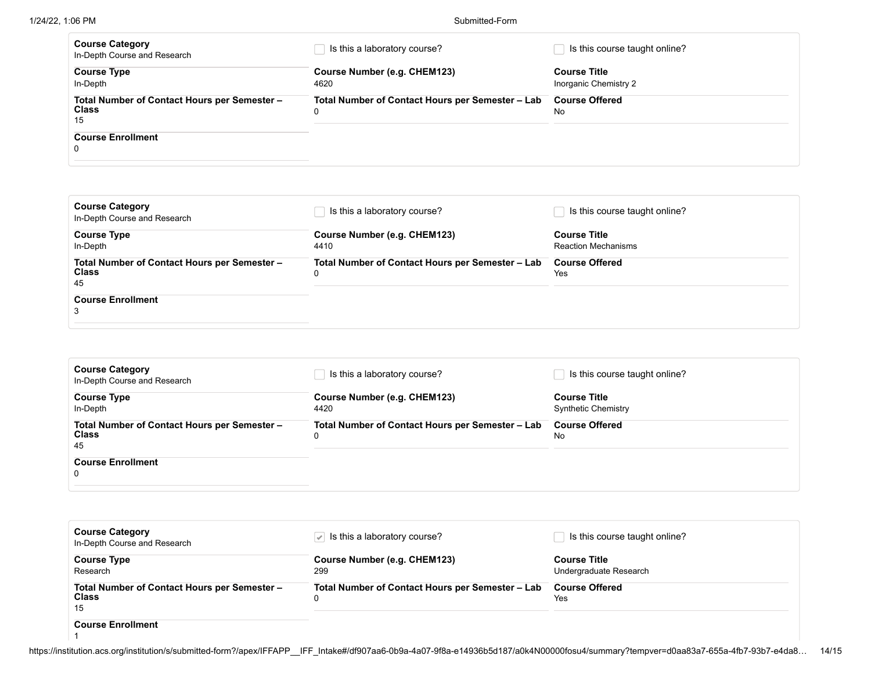| <b>Course Category</b><br>In-Depth Course and Research             | Is this a laboratory course?                          | Is this course taught online? |
|--------------------------------------------------------------------|-------------------------------------------------------|-------------------------------|
| <b>Course Type</b>                                                 | Course Number (e.g. CHEM123)                          | <b>Course Title</b>           |
| In-Depth                                                           | 4620                                                  | Inorganic Chemistry 2         |
| Total Number of Contact Hours per Semester -<br><b>Class</b><br>15 | Total Number of Contact Hours per Semester - Lab<br>0 | <b>Course Offered</b><br>No   |
| <b>Course Enrollment</b><br>0                                      |                                                       |                               |

| <b>Course Category</b><br>In-Depth Course and Research             | Is this a laboratory course?                          | Is this course taught online?                     |
|--------------------------------------------------------------------|-------------------------------------------------------|---------------------------------------------------|
| <b>Course Type</b><br>In-Depth                                     | Course Number (e.g. CHEM123)<br>4410                  | <b>Course Title</b><br><b>Reaction Mechanisms</b> |
| Total Number of Contact Hours per Semester -<br><b>Class</b><br>45 | Total Number of Contact Hours per Semester - Lab<br>0 | <b>Course Offered</b><br>Yes                      |
| <b>Course Enrollment</b><br>3                                      |                                                       |                                                   |

| <b>Course Category</b><br>In-Depth Course and Research             | Is this a laboratory course?                          | Is this course taught online?                     |
|--------------------------------------------------------------------|-------------------------------------------------------|---------------------------------------------------|
| <b>Course Type</b><br>In-Depth                                     | Course Number (e.g. CHEM123)<br>4420                  | <b>Course Title</b><br><b>Synthetic Chemistry</b> |
| Total Number of Contact Hours per Semester -<br><b>Class</b><br>45 | Total Number of Contact Hours per Semester - Lab<br>0 | <b>Course Offered</b><br>No                       |
| <b>Course Enrollment</b><br>$\Omega$                               |                                                       |                                                   |

| <b>Course Category</b><br>In-Depth Course and Research             | Is this a laboratory course?                     | Is this course taught online?                 |
|--------------------------------------------------------------------|--------------------------------------------------|-----------------------------------------------|
| <b>Course Type</b><br>Research                                     | Course Number (e.g. CHEM123)<br>299              | <b>Course Title</b><br>Undergraduate Research |
| Total Number of Contact Hours per Semester -<br><b>Class</b><br>15 | Total Number of Contact Hours per Semester - Lab | <b>Course Offered</b><br>Yes                  |
| <b>Course Enrollment</b>                                           |                                                  |                                               |